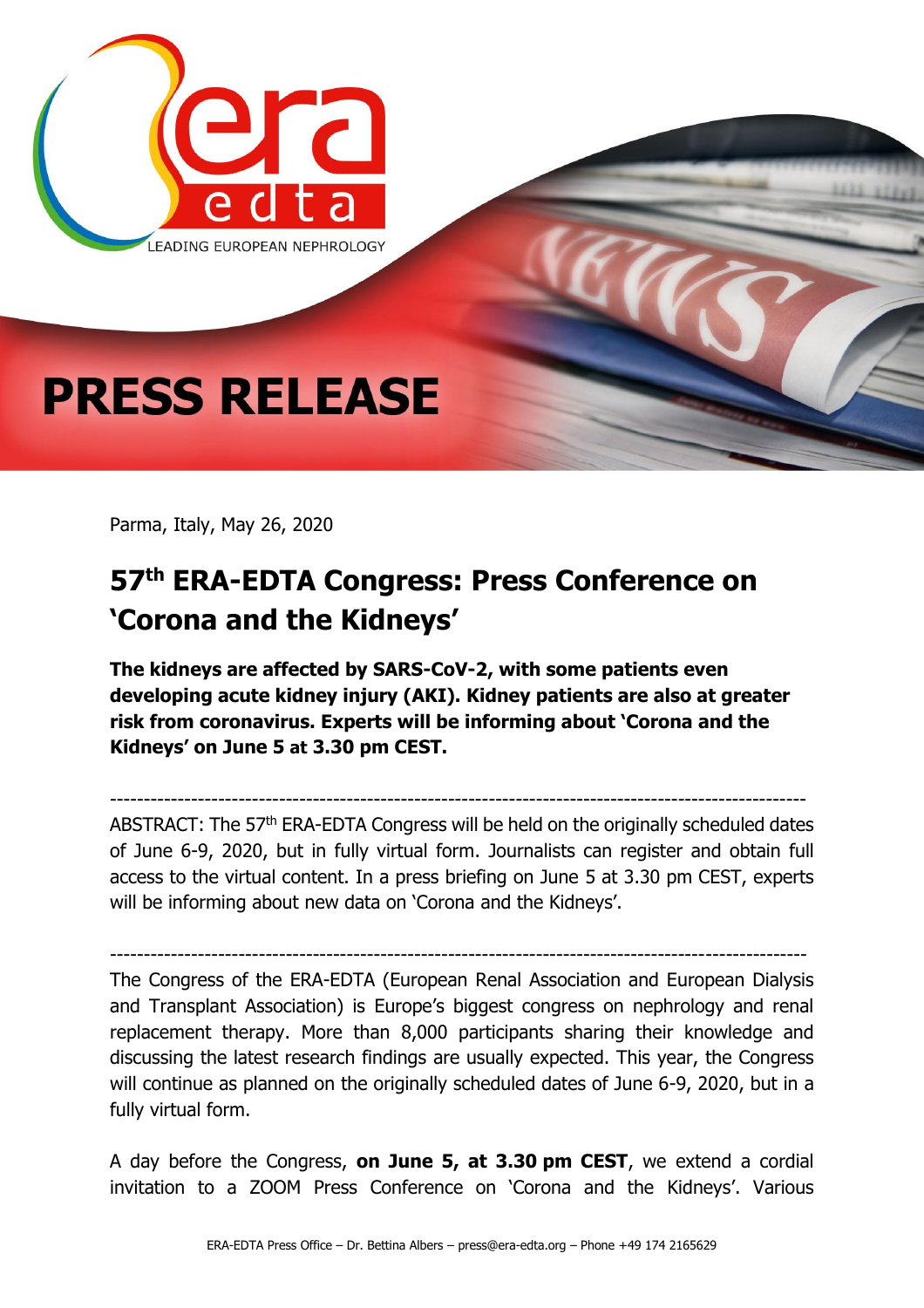

Parma, Italy, May 26, 2020

## **57th ERA-EDTA Congress: Press Conference on 'Corona and the Kidneys'**

**The kidneys are affected by SARS-CoV-2, with some patients even developing acute kidney injury (AKI). Kidney patients are also at greater risk from coronavirus. Experts will be informing about 'Corona and the Kidneys' on June 5 at 3.30 pm CEST.**

------------------------------------------------------------------------------------------------------- ABSTRACT: The 57<sup>th</sup> ERA-EDTA Congress will be held on the originally scheduled dates of June 6-9, 2020, but in fully virtual form. Journalists can register and obtain full access to the virtual content. In a press briefing on June 5 at 3.30 pm CEST, experts will be informing about new data on 'Corona and the Kidneys'.

------------------------------------------------------------------------------------------------------- The Congress of the ERA-EDTA (European Renal Association and European Dialysis and Transplant Association) is Europe's biggest congress on nephrology and renal replacement therapy. More than 8,000 participants sharing their knowledge and discussing the latest research findings are usually expected. This year, the Congress will continue as planned on the originally scheduled dates of June 6-9, 2020, but in a fully virtual form.

A day before the Congress, **on June 5, at 3.30 pm CEST**, we extend a cordial invitation to a ZOOM Press Conference on 'Corona and the Kidneys'. Various